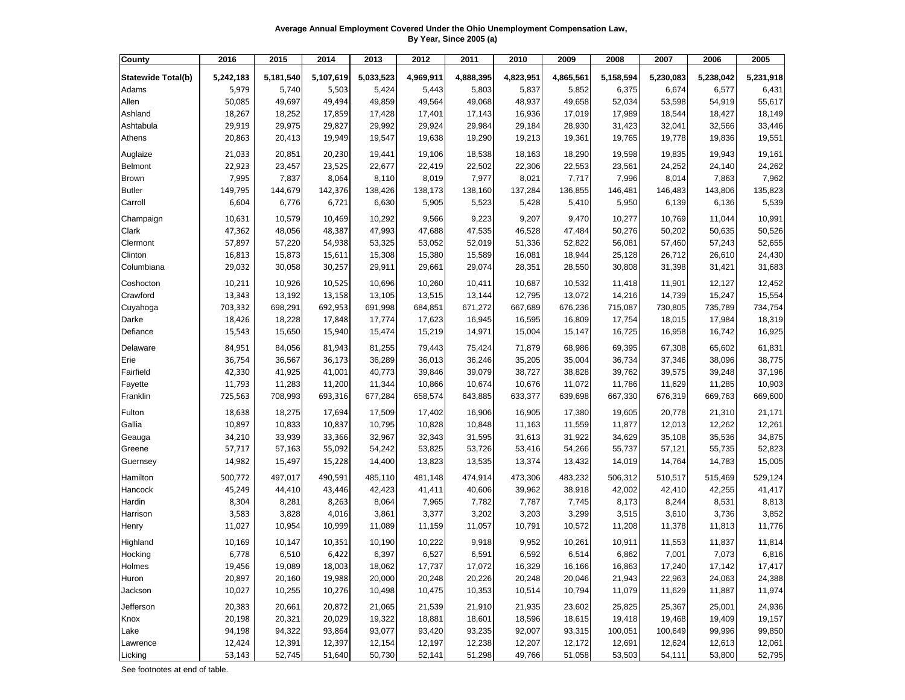**Average Annual Employment Covered Under the Ohio Unemployment Compensation Law, By Year, Since 2005 (a)**

| <b>County</b>             | 2016      | 2015      | 2014      | 2013      | 2012      | 2011      | 2010      | 2009      | 2008      | 2007      | 2006      | 2005      |
|---------------------------|-----------|-----------|-----------|-----------|-----------|-----------|-----------|-----------|-----------|-----------|-----------|-----------|
| <b>Statewide Total(b)</b> | 5,242,183 | 5,181,540 | 5,107,619 | 5,033,523 | 4,969,911 | 4,888,395 | 4,823,951 | 4,865,561 | 5,158,594 | 5,230,083 | 5,238,042 | 5,231,918 |
| Adams                     | 5,979     | 5,740     | 5,503     | 5,424     | 5,443     | 5,803     | 5,837     | 5,852     | 6,375     | 6,674     | 6,577     | 6,431     |
| Allen                     | 50,085    | 49,697    | 49,494    | 49,859    | 49,564    | 49,068    | 48,937    | 49,658    | 52,034    | 53,598    | 54,919    | 55,617    |
| Ashland                   | 18,267    | 18,252    | 17,859    | 17,428    | 17,401    | 17,143    | 16,936    | 17,019    | 17,989    | 18,544    | 18,427    | 18,149    |
| Ashtabula                 | 29,919    | 29,975    | 29,827    | 29,992    | 29,924    | 29,984    | 29,184    | 28,930    | 31,423    | 32,041    | 32,566    | 33,446    |
| Athens                    | 20,863    | 20,413    | 19,949    | 19,547    | 19,638    | 19,290    | 19,213    | 19,361    | 19,765    | 19,778    | 19,836    | 19,551    |
| Auglaize                  | 21,033    | 20,851    | 20,230    | 19,441    | 19,106    | 18,538    | 18,163    | 18,290    | 19,598    | 19,835    | 19,943    | 19,161    |
| <b>Belmont</b>            | 22,923    | 23,457    | 23,525    | 22,677    | 22,419    | 22,502    | 22,306    | 22,553    | 23,561    | 24,252    | 24,140    | 24,262    |
| <b>Brown</b>              | 7,995     | 7,837     | 8,064     | 8,110     | 8,019     | 7,977     | 8,021     | 7,717     | 7,996     | 8,014     | 7,863     | 7,962     |
| <b>Butler</b>             | 149,795   | 144,679   | 142,376   | 138,426   | 138,173   | 138,160   | 137,284   | 136,855   | 146,481   | 146,483   | 143,806   | 135,823   |
| Carroll                   | 6,604     | 6,776     | 6,721     | 6,630     | 5,905     | 5,523     | 5,428     | 5,410     | 5,950     | 6,139     | 6,136     | 5,539     |
| Champaign                 | 10,631    | 10,579    | 10,469    | 10,292    | 9,566     | 9,223     | 9,207     | 9,470     | 10,277    | 10,769    | 11,044    | 10,991    |
| <b>Clark</b>              | 47,362    | 48,056    | 48,387    | 47,993    | 47,688    | 47,535    | 46,528    | 47,484    | 50,276    | 50,202    | 50,635    | 50,526    |
| Clermont                  | 57,897    | 57,220    | 54,938    | 53,325    | 53,052    | 52,019    | 51,336    | 52,822    | 56,081    | 57,460    | 57,243    | 52,655    |
| Clinton                   | 16,813    | 15,873    | 15,611    | 15,308    | 15,380    | 15,589    | 16,081    | 18,944    | 25,128    | 26,712    | 26,610    | 24,430    |
| Columbiana                | 29,032    | 30,058    | 30,257    | 29,911    | 29,661    | 29,074    | 28,351    | 28,550    | 30,808    | 31,398    | 31,421    | 31,683    |
| Coshocton                 | 10,211    | 10,926    | 10,525    | 10,696    | 10,260    | 10,411    | 10,687    | 10,532    | 11,418    | 11,901    | 12,127    | 12,452    |
| Crawford                  | 13,343    | 13,192    | 13,158    | 13,105    | 13,515    | 13,144    | 12,795    | 13,072    | 14,216    | 14,739    | 15,247    | 15,554    |
| Cuyahoga                  | 703,332   | 698,291   | 692,953   | 691,998   | 684,851   | 671,272   | 667,689   | 676,236   | 715,087   | 730,805   | 735,789   | 734,754   |
| Darke                     | 18,426    | 18,228    | 17,848    | 17,774    | 17,623    | 16,945    | 16,595    | 16,809    | 17,754    | 18,015    | 17,984    | 18,319    |
| Defiance                  | 15,543    | 15,650    | 15,940    | 15,474    | 15,219    | 14,971    | 15,004    | 15,147    | 16,725    | 16,958    | 16,742    | 16,925    |
| Delaware                  | 84,951    | 84,056    | 81,943    | 81,255    | 79,443    | 75,424    | 71,879    | 68,986    | 69,395    | 67,308    | 65,602    | 61,831    |
| Erie                      | 36,754    | 36,567    | 36,173    | 36,289    | 36,013    | 36,246    | 35,205    | 35,004    | 36,734    | 37,346    | 38,096    | 38,775    |
| Fairfield                 | 42,330    | 41,925    | 41,001    | 40,773    | 39,846    | 39,079    | 38,727    | 38,828    | 39,762    | 39,575    | 39,248    | 37,196    |
| Fayette                   | 11,793    | 11,283    | 11,200    | 11,344    | 10,866    | 10,674    | 10,676    | 11,072    | 11,786    | 11,629    | 11,285    | 10,903    |
| Franklin                  | 725,563   | 708,993   | 693,316   | 677,284   | 658,574   | 643,885   | 633,377   | 639,698   | 667,330   | 676,319   | 669,763   | 669,600   |
| Fulton                    | 18,638    | 18,275    | 17,694    | 17,509    | 17,402    | 16,906    | 16,905    | 17,380    | 19,605    | 20,778    | 21,310    | 21,171    |
| Gallia                    | 10,897    | 10,833    | 10,837    | 10,795    | 10,828    | 10,848    | 11,163    | 11,559    | 11,877    | 12,013    | 12,262    | 12,261    |
| Geauga                    | 34,210    | 33,939    | 33,366    | 32,967    | 32,343    | 31,595    | 31,613    | 31,922    | 34,629    | 35,108    | 35,536    | 34,875    |
| Greene                    | 57,717    | 57,163    | 55,092    | 54,242    | 53,825    | 53,726    | 53,416    | 54,266    | 55,737    | 57,121    | 55,735    | 52,823    |
| Guernsey                  | 14,982    | 15,497    | 15,228    | 14,400    | 13,823    | 13,535    | 13,374    | 13,432    | 14,019    | 14,764    | 14,783    | 15,005    |
| Hamilton                  | 500,772   | 497,017   | 490,591   | 485,110   | 481,148   | 474,914   | 473,306   | 483,232   | 506,312   | 510,517   | 515,469   | 529,124   |
| Hancock                   | 45,249    | 44,410    | 43,446    | 42,423    | 41,411    | 40,606    | 39,962    | 38,918    | 42,002    | 42,410    | 42,255    | 41,417    |
| Hardin                    | 8,304     | 8,281     | 8,263     | 8,064     | 7,965     | 7,782     | 7,787     | 7,745     | 8,173     | 8,244     | 8,531     | 8,813     |
| Harrison                  | 3,583     | 3,828     | 4,016     | 3,861     | 3,377     | 3,202     | 3,203     | 3,299     | 3,515     | 3,610     | 3,736     | 3,852     |
| Henry                     | 11,027    | 10,954    | 10,999    | 11,089    | 11,159    | 11,057    | 10,791    | 10,572    | 11,208    | 11,378    | 11,813    | 11,776    |
| Highland                  | 10,169    | 10,147    | 10,351    | 10,190    | 10,222    | 9,918     | 9,952     | 10,261    | 10,911    | 11,553    | 11,837    | 11,814    |
| Hocking                   | 6,778     | 6,510     | 6,422     | 6,397     | 6,527     | 6,591     | 6,592     | 6,514     | 6,862     | 7,001     | 7,073     | 6,816     |
| Holmes                    | 19,456    | 19,089    | 18,003    | 18,062    | 17,737    | 17,072    | 16,329    | 16,166    | 16,863    | 17,240    | 17,142    | 17,417    |
| Huron                     | 20,897    | 20,160    | 19,988    | 20,000    | 20,248    | 20,226    | 20,248    | 20,046    | 21,943    | 22,963    | 24,063    | 24,388    |
| Jackson                   | 10,027    | 10,255    | 10,276    | 10,498    | 10,475    | 10,353    | 10,514    | 10,794    | 11,079    | 11,629    | 11,887    | 11,974    |
| Jefferson                 | 20,383    | 20,661    | 20,872    | 21,065    | 21,539    | 21,910    | 21,935    | 23,602    | 25,825    | 25,367    | 25,001    | 24,936    |
| Knox                      | 20,198    | 20,321    | 20,029    | 19,322    | 18,881    | 18,601    | 18,596    | 18,615    | 19,418    | 19,468    | 19,409    | 19,157    |
| Lake                      | 94,198    | 94,322    | 93,864    | 93,077    | 93,420    | 93,235    | 92,007    | 93,315    | 100,051   | 100,649   | 99,996    | 99,850    |
| Lawrence                  | 12,424    | 12,391    | 12,397    | 12,154    | 12,197    | 12,238    | 12,207    | 12,172    | 12,691    | 12,624    | 12,613    | 12,061    |
| Licking                   | 53,143    | 52,745    | 51,640    | 50,730    | 52,141    | 51,298    | 49,766    | 51,058    | 53,503    | 54,111    | 53,800    | 52,795    |

See footnotes at end of table.